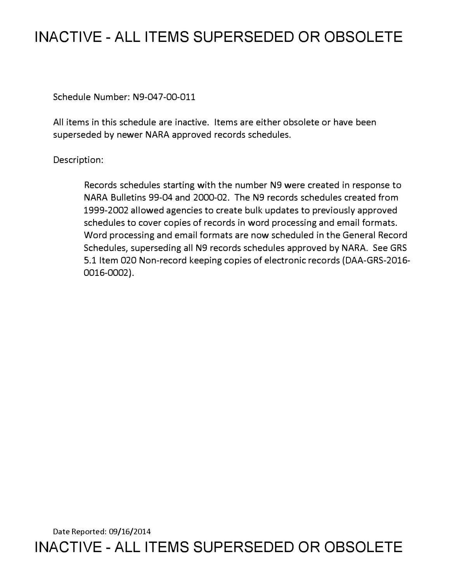## **INACTIVE - ALL ITEMS SUPERSEDED OR OBSOLETE**

Schedule Number: N9-047-00-011

All items in this schedule are inactive. Items are either obsolete or have been superseded by newer NARA approved records schedules.

Description:

Records schedules starting with the number N9 were created in response to NARA Bulletins 99-04 and 2000-02. The N9 records schedules created from 1999-2002 allowed agencies to create bulk updates to previously approved schedules to cover copies of records in word processing and email formats. Word processing and email formats are now scheduled in the General Record Schedules, superseding all N9 records schedules approved by NARA. See GRS 5.1 Item 020 Non-record keeping copies of electronic records (DAA-GRS-2016- 0016-0002).

Date Reported: 09/16/2014 **INACTIVE - ALL ITEMS SUPERSEDED OR OBSOLETE**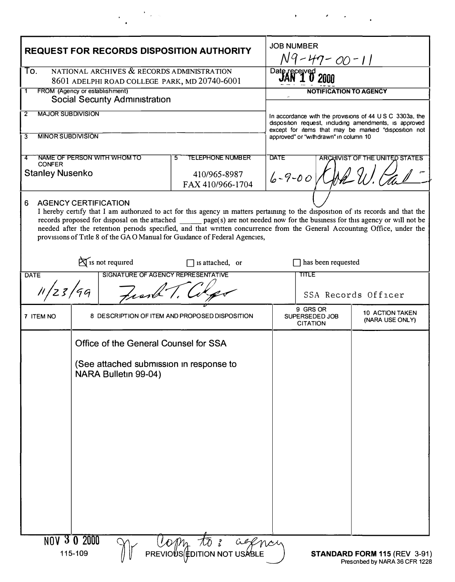| <b>REQUEST FOR RECORDS DISPOSITION AUTHORITY</b>                                                                                                                                                                                                     |                                                                 |  |                                                                                                                                   |              | <b>JOB NUMBER</b>                                                                                              |                                                          |  |
|------------------------------------------------------------------------------------------------------------------------------------------------------------------------------------------------------------------------------------------------------|-----------------------------------------------------------------|--|-----------------------------------------------------------------------------------------------------------------------------------|--------------|----------------------------------------------------------------------------------------------------------------|----------------------------------------------------------|--|
|                                                                                                                                                                                                                                                      |                                                                 |  |                                                                                                                                   |              | N9-47-00-11                                                                                                    |                                                          |  |
| NATIONAL ARCHIVES & RECORDS ADMINISTRATION<br>To.<br>8601 ADELPHI ROAD COLLEGE PARK, MD 20740-6001                                                                                                                                                   |                                                                 |  |                                                                                                                                   |              | Dat                                                                                                            |                                                          |  |
| FROM (Agency or establishment)<br>1<br>Social Security Administration                                                                                                                                                                                |                                                                 |  |                                                                                                                                   |              | NOTIFICATION TO AGENCY                                                                                         |                                                          |  |
| <b>MAJOR SUBDIVISION</b><br>2                                                                                                                                                                                                                        |                                                                 |  |                                                                                                                                   |              |                                                                                                                | In accordance with the provisions of 44 U S C 3303a, the |  |
| <b>MINOR SUBDIVISION</b>                                                                                                                                                                                                                             |                                                                 |  |                                                                                                                                   |              | disposition request, including amendments, is approved<br>except for items that may be marked "disposition not |                                                          |  |
| 3                                                                                                                                                                                                                                                    |                                                                 |  |                                                                                                                                   |              | approved" or "withdrawn" in column 10                                                                          |                                                          |  |
| NAME OF PERSON WITH WHOM TO<br><b>TELEPHONE NUMBER</b><br><b>CONFER</b>                                                                                                                                                                              |                                                                 |  |                                                                                                                                   |              |                                                                                                                | ARCHIVIST OF THE UNITED STATES                           |  |
| <b>Stanley Nusenko</b><br>410/965-8987<br>FAX 410/966-1704                                                                                                                                                                                           |                                                                 |  |                                                                                                                                   | $6 - 9 - 00$ |                                                                                                                |                                                          |  |
| <b>AGENCY CERTIFICATION</b><br>6                                                                                                                                                                                                                     |                                                                 |  |                                                                                                                                   |              |                                                                                                                |                                                          |  |
|                                                                                                                                                                                                                                                      |                                                                 |  | I hereby certify that I am authorized to act for this agency in matters pertaining to the disposition of its records and that the |              |                                                                                                                |                                                          |  |
| records proposed for disposal on the attached page(s) are not needed now for the business for this agency or will not be<br>needed after the retention periods specified, and that written concurrence from the General Accounting Office, under the |                                                                 |  |                                                                                                                                   |              |                                                                                                                |                                                          |  |
| provisions of Title 8 of the GAO Manual for Guidance of Federal Agencies,                                                                                                                                                                            |                                                                 |  |                                                                                                                                   |              |                                                                                                                |                                                          |  |
|                                                                                                                                                                                                                                                      |                                                                 |  |                                                                                                                                   |              |                                                                                                                |                                                          |  |
| $\sum$ is not required<br>is attached, or<br>SIGNATURE OF AGENCY REPRESENTATIVE<br><b>DATE</b>                                                                                                                                                       |                                                                 |  |                                                                                                                                   |              | has been requested<br><b>TITLE</b>                                                                             |                                                          |  |
|                                                                                                                                                                                                                                                      |                                                                 |  |                                                                                                                                   |              |                                                                                                                |                                                          |  |
| 11/23/99<br>frank 1.                                                                                                                                                                                                                                 |                                                                 |  |                                                                                                                                   |              | SSA Records Officer                                                                                            |                                                          |  |
| 7 ITEM NO                                                                                                                                                                                                                                            | 8 DESCRIPTION OF ITEM AND PROPOSED DISPOSITION                  |  |                                                                                                                                   |              | 9 GRS OR<br><b>10 ACTION TAKEN</b><br>SUPERSEDED JOB<br>(NARA USE ONLY)<br><b>CITATION</b>                     |                                                          |  |
|                                                                                                                                                                                                                                                      | Office of the General Counsel for SSA                           |  |                                                                                                                                   |              |                                                                                                                |                                                          |  |
|                                                                                                                                                                                                                                                      | (See attached submission in response to<br>NARA Bulletin 99-04) |  |                                                                                                                                   |              |                                                                                                                |                                                          |  |
|                                                                                                                                                                                                                                                      |                                                                 |  |                                                                                                                                   |              |                                                                                                                |                                                          |  |
|                                                                                                                                                                                                                                                      |                                                                 |  |                                                                                                                                   |              |                                                                                                                |                                                          |  |
|                                                                                                                                                                                                                                                      |                                                                 |  |                                                                                                                                   |              |                                                                                                                |                                                          |  |
|                                                                                                                                                                                                                                                      |                                                                 |  |                                                                                                                                   |              |                                                                                                                |                                                          |  |
|                                                                                                                                                                                                                                                      |                                                                 |  |                                                                                                                                   |              |                                                                                                                |                                                          |  |
|                                                                                                                                                                                                                                                      |                                                                 |  |                                                                                                                                   |              |                                                                                                                |                                                          |  |
|                                                                                                                                                                                                                                                      |                                                                 |  |                                                                                                                                   |              |                                                                                                                |                                                          |  |
|                                                                                                                                                                                                                                                      |                                                                 |  |                                                                                                                                   |              |                                                                                                                |                                                          |  |
|                                                                                                                                                                                                                                                      |                                                                 |  |                                                                                                                                   |              |                                                                                                                |                                                          |  |
|                                                                                                                                                                                                                                                      |                                                                 |  |                                                                                                                                   |              |                                                                                                                |                                                          |  |
|                                                                                                                                                                                                                                                      |                                                                 |  |                                                                                                                                   |              |                                                                                                                |                                                          |  |
|                                                                                                                                                                                                                                                      | <b>NOV 3 0 2000</b>                                             |  |                                                                                                                                   |              |                                                                                                                |                                                          |  |
|                                                                                                                                                                                                                                                      | 115-109                                                         |  | Com to: centre                                                                                                                    |              |                                                                                                                | <b>STANDARD FORM 115 (REV 3-91)</b>                      |  |
|                                                                                                                                                                                                                                                      |                                                                 |  |                                                                                                                                   |              |                                                                                                                | Prescnbed by NARA 36 CFR 1228                            |  |

 $\label{eq:2.1} \mathcal{L}(\mathcal{L}(\mathcal{H})) = \mathcal{L}(\mathcal{L}(\mathcal{H})) = \mathcal{L}(\mathcal{L}(\mathcal{H}))$ 

 $\label{eq:2} \frac{1}{\sqrt{2}}\sum_{\mathbf{k}}\left(\frac{1}{\sqrt{2}}\sum_{\mathbf{k}}\mathbf{E}_{\mathbf{k}}\right)^{2} \mathbf{E}_{\mathbf{k}}\left(\mathbf{E}_{\mathbf{k}}\right)^{2}$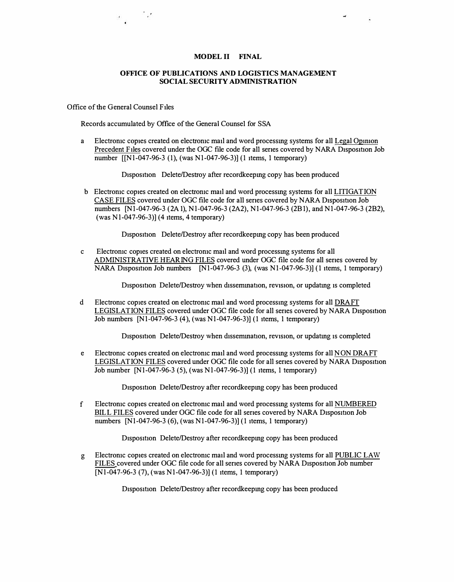## **MODEL II FINAL**

## **OFFICE OF PUBLICATIONS AND LOGISTICS MANAGEMENT SOCIAL SECURITY ADMINISTRATION**

Office of the General Counsel Files

 $\label{eq:2.1} \frac{1}{\sqrt{2}}\int_{0}^{\frac{1}{2}}\frac{dx}{\sqrt{2}}\,dx$ 

Records accumulated by Office of the General Counsel for SSA

a Electromc copies created on electromc mail and word processmg systems for all Legal Opmion Precedent Files covered under the OGC file code for all senes covered by NARA Disposition Job number [[Nl-047-96-3 (1), (was Nl-047-96-3)] (I items, I temporary)

Disposition Delete/Destroy after recordkeepmg copy has been produced

b Electromc copies created on electromc mail and word processmg systems for all LITIGATION CASE FILES covered under OGC file code for all senes covered by NARA Disposition Job numbers [Nl-047-96-3 (2A I), Nl-047-96-3 (2A2), Nl-047-96-3 (2Bl), and Nl-047-96-3 (2B2), (was Nl-047-96-3)] (4 items, 4 temporary)

Disposition Delete/Destroy after recordkeepmg copy has been produced

c Electromc copies created on electromc mail and word processmg systems for all ADMINISTRATIVE HEARING FILES covered under OGC file code for all senes covered by NARA Disposition Job numbers  $[N1-047-96-3]$  (3), (was N1-047-96-3)] (1 items, 1 temporary)

Disposition Delete/Destroy when dissemination, revision, or updating is completed

d Electromc copies created on electromc mail and word processing systems for all DRAFT LEGISLATION FILES covered under OGC file code for all senes covered by NARA Disposition Job numbers [Nl-047-96-3 (4), (was Nl-047-96-3)] (I items, I temporary)

Disposition Delete/Destroy when dissemination, revision, or updating is completed

e Electromic copies created on electromic mail and word processing systems for all NON DRAFT LEGISLATION FILES covered under OGC file code for all series covered by NARA Disposition Job number [Nl-047-96-3 (5), (was Nl-047-96-3)] (I items, I temporary)

Disposition Delete/Destroy after recordkeeping copy has been produced

f Electromc copies created on electromc mail and word processmg systems for all NUMBERED BILL FILES covered under OGC file code for all series covered by NARA Disposition Job numbers [Nl-047-96-3 (6), (was Nl-047-96-3)] (I items, I temporary)

Disposition Delete/Destroy after recordkeeping copy has been produced

g Electromc copies created on electromc mail and word processmg systems for all PUBLIC LAW FILES covered under OGC file code for all series covered by NARA Disposition Job number [Nl-047-96-3 (7), (was Nl-047-96-3)] (I items, I temporary)

Disposition Delete/Destroy after recordkeeping copy has been produced